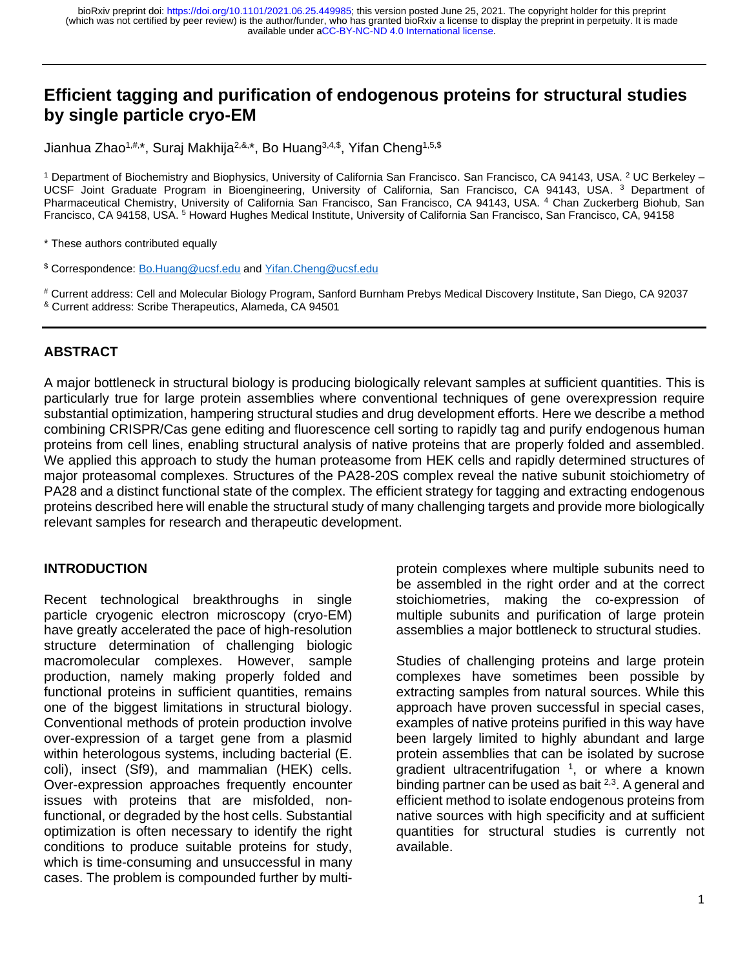# **Efficient tagging and purification of endogenous proteins for structural studies by single particle cryo-EM**

Jianhua Zhao $^{1,\text{\#},\star}$ , Suraj Makhija $^{2,\text{\A},\star}$ , Bo Huang $^{3,4,\$}$ , Yifan Cheng $^{1,5,\$}$ 

<sup>1</sup> Department of Biochemistry and Biophysics, University of California San Francisco. San Francisco, CA 94143, USA. <sup>2</sup> UC Berkeley – UCSF Joint Graduate Program in Bioengineering, University of California, San Francisco, CA 94143, USA. <sup>3</sup> Department of Pharmaceutical Chemistry, University of California San Francisco, San Francisco, CA 94143, USA. <sup>4</sup> Chan Zuckerberg Biohub, San Francisco, CA 94158, USA. <sup>5</sup> Howard Hughes Medical Institute, University of California San Francisco, San Francisco, CA, 94158

\* These authors contributed equally

\$ Correspondence: [Bo.Huang@ucsf.edu](mailto:Bo.Huang@ucsf.edu) an[d Yifan.Cheng@ucsf.edu](mailto:Yifan.Cheng@ucsf.edu)

# Current address: Cell and Molecular Biology Program, Sanford Burnham Prebys Medical Discovery Institute, San Diego, CA 92037 & Current address: Scribe Therapeutics, Alameda, CA 94501

## **ABSTRACT**

A major bottleneck in structural biology is producing biologically relevant samples at sufficient quantities. This is particularly true for large protein assemblies where conventional techniques of gene overexpression require substantial optimization, hampering structural studies and drug development efforts. Here we describe a method combining CRISPR/Cas gene editing and fluorescence cell sorting to rapidly tag and purify endogenous human proteins from cell lines, enabling structural analysis of native proteins that are properly folded and assembled. We applied this approach to study the human proteasome from HEK cells and rapidly determined structures of major proteasomal complexes. Structures of the PA28-20S complex reveal the native subunit stoichiometry of PA28 and a distinct functional state of the complex. The efficient strategy for tagging and extracting endogenous proteins described here will enable the structural study of many challenging targets and provide more biologically relevant samples for research and therapeutic development.

#### **INTRODUCTION**

Recent technological breakthroughs in single particle cryogenic electron microscopy (cryo-EM) have greatly accelerated the pace of high-resolution structure determination of challenging biologic macromolecular complexes. However, sample production, namely making properly folded and functional proteins in sufficient quantities, remains one of the biggest limitations in structural biology. Conventional methods of protein production involve over-expression of a target gene from a plasmid within heterologous systems, including bacterial (E. coli), insect (Sf9), and mammalian (HEK) cells. Over-expression approaches frequently encounter issues with proteins that are misfolded, nonfunctional, or degraded by the host cells. Substantial optimization is often necessary to identify the right conditions to produce suitable proteins for study, which is time-consuming and unsuccessful in many cases. The problem is compounded further by multiprotein complexes where multiple subunits need to be assembled in the right order and at the correct stoichiometries, making the co-expression of multiple subunits and purification of large protein assemblies a major bottleneck to structural studies.

Studies of challenging proteins and large protein complexes have sometimes been possible by extracting samples from natural sources. While this approach have proven successful in special cases, examples of native proteins purified in this way have been largely limited to highly abundant and large protein assemblies that can be isolated by sucrose gradient ultracentrifugation <sup>1</sup>, or where a known binding partner can be used as bait <sup>2,3</sup>. A general and efficient method to isolate endogenous proteins from native sources with high specificity and at sufficient quantities for structural studies is currently not available.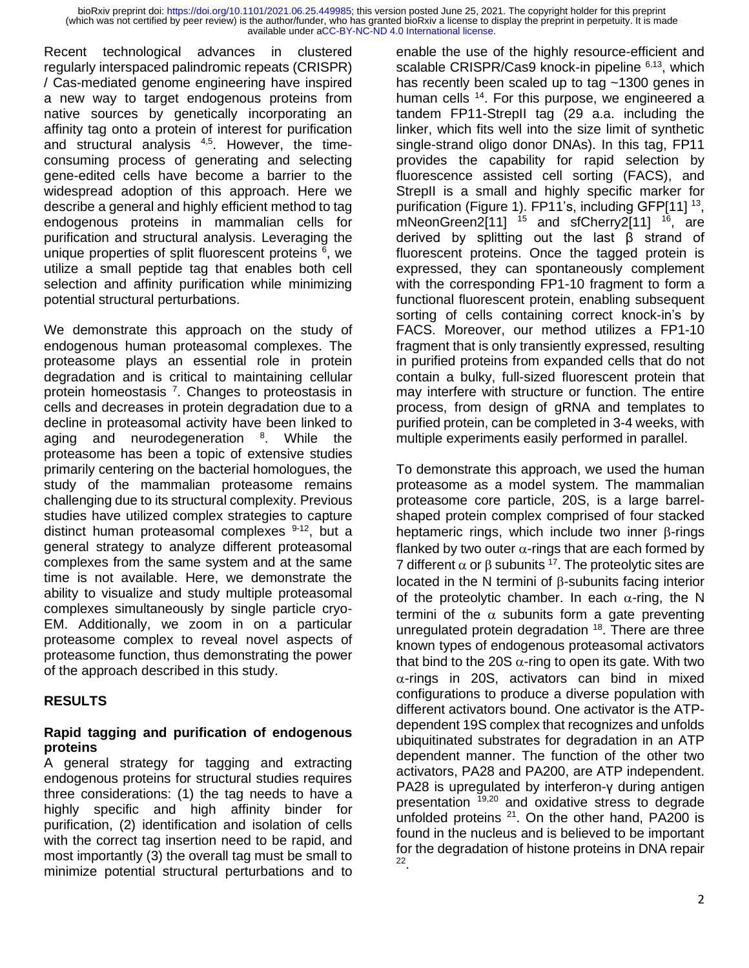Recent technological advances in clustered regularly interspaced palindromic repeats (CRISPR) / Cas-mediated genome engineering have inspired a new way to target endogenous proteins from native sources by genetically incorporating an affinity tag onto a protein of interest for purification and structural analysis <sup>4,5</sup>. However, the timeconsuming process of generating and selecting gene-edited cells have become a barrier to the widespread adoption of this approach. Here we describe a general and highly efficient method to tag endogenous proteins in mammalian cells for purification and structural analysis. Leveraging the unique properties of split fluorescent proteins <sup>6</sup>, we utilize a small peptide tag that enables both cell selection and affinity purification while minimizing potential structural perturbations.

We demonstrate this approach on the study of endogenous human proteasomal complexes. The proteasome plays an essential role in protein degradation and is critical to maintaining cellular protein homeostasis<sup>7</sup>. Changes to proteostasis in cells and decreases in protein degradation due to a decline in proteasomal activity have been linked to aging and neurodegeneration <sup>8</sup>. While the proteasome has been a topic of extensive studies primarily centering on the bacterial homologues, the study of the mammalian proteasome remains challenging due to its structural complexity. Previous studies have utilized complex strategies to capture distinct human proteasomal complexes <sup>9-12</sup>, but a general strategy to analyze different proteasomal complexes from the same system and at the same time is not available. Here, we demonstrate the ability to visualize and study multiple proteasomal complexes simultaneously by single particle cryo-EM. Additionally, we zoom in on a particular proteasome complex to reveal novel aspects of proteasome function, thus demonstrating the power of the approach described in this study.

#### **RESULTS**

#### **Rapid tagging and purification of endogenous proteins**

A general strategy for tagging and extracting endogenous proteins for structural studies requires three considerations: (1) the tag needs to have a highly specific and high affinity binder for purification, (2) identification and isolation of cells with the correct tag insertion need to be rapid, and most importantly (3) the overall tag must be small to minimize potential structural perturbations and to

enable the use of the highly resource-efficient and scalable CRISPR/Cas9 knock-in pipeline 6,13, which has recently been scaled up to tag ~1300 genes in human cells <sup>14</sup>. For this purpose, we engineered a tandem FP11-StrepII tag (29 a.a. including the linker, which fits well into the size limit of synthetic single-strand oligo donor DNAs). In this tag, FP11 provides the capability for rapid selection by fluorescence assisted cell sorting (FACS), and StrepII is a small and highly specific marker for purification (Figure 1). FP11's, including GFP[11]<sup>13</sup>, mNeonGreen2[11]  $15$  and sfCherry2[11]  $16$ , are derived by splitting out the last β strand of fluorescent proteins. Once the tagged protein is expressed, they can spontaneously complement with the corresponding FP1-10 fragment to form a functional fluorescent protein, enabling subsequent sorting of cells containing correct knock-in's by FACS. Moreover, our method utilizes a FP1-10 fragment that is only transiently expressed, resulting in purified proteins from expanded cells that do not contain a bulky, full-sized fluorescent protein that may interfere with structure or function. The entire process, from design of gRNA and templates to purified protein, can be completed in 3-4 weeks, with multiple experiments easily performed in parallel.

To demonstrate this approach, we used the human proteasome as a model system. The mammalian proteasome core particle, 20S, is a large barrelshaped protein complex comprised of four stacked heptameric rings, which include two inner  $\beta$ -rings flanked by two outer  $\alpha$ -rings that are each formed by 7 different  $\alpha$  or  $\beta$  subunits <sup>17</sup>. The proteolytic sites are located in the N termini of  $\beta$ -subunits facing interior of the proteolytic chamber. In each  $\alpha$ -ring, the N termini of the  $\alpha$  subunits form a gate preventing unregulated protein degradation <sup>18</sup>. There are three known types of endogenous proteasomal activators that bind to the 20S  $\alpha$ -ring to open its gate. With two  $\alpha$ -rings in 20S, activators can bind in mixed configurations to produce a diverse population with different activators bound. One activator is the ATPdependent 19S complex that recognizes and unfolds ubiquitinated substrates for degradation in an ATP dependent manner. The function of the other two activators, PA28 and PA200, are ATP independent. PA28 is upregulated by interferon-γ during antigen presentation  $19,20$  and oxidative stress to degrade unfolded proteins  $21$ . On the other hand, PA200 is found in the nucleus and is believed to be important for the degradation of histone proteins in DNA repair 22 .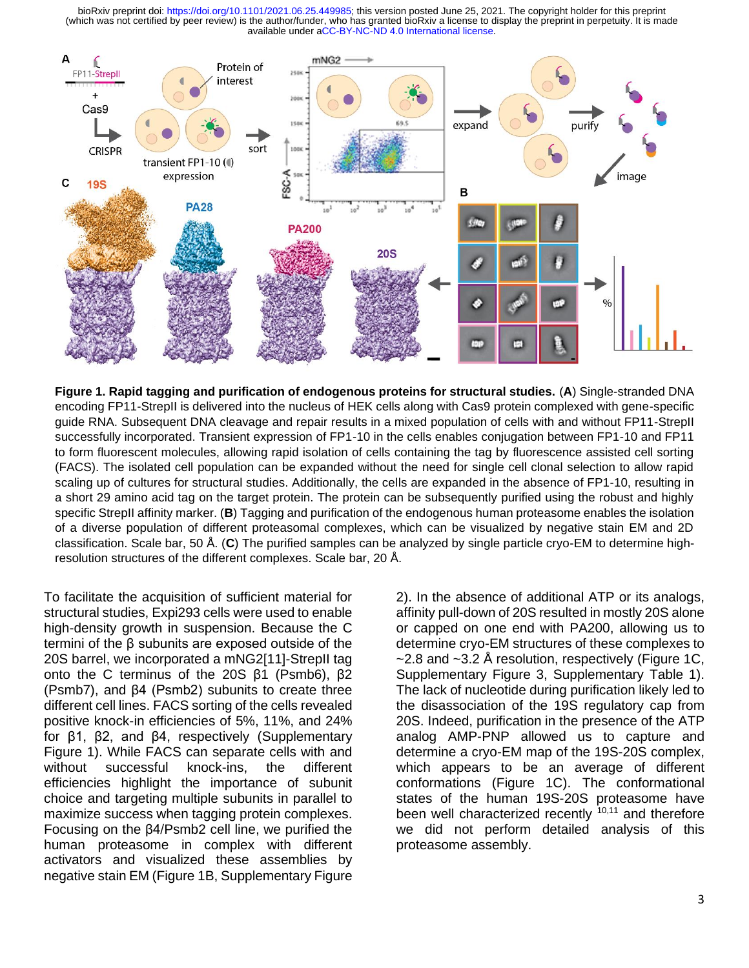

**Figure 1. Rapid tagging and purification of endogenous proteins for structural studies.** (**A**) Single-stranded DNA encoding FP11-StrepII is delivered into the nucleus of HEK cells along with Cas9 protein complexed with gene-specific guide RNA. Subsequent DNA cleavage and repair results in a mixed population of cells with and without FP11-StrepII successfully incorporated. Transient expression of FP1-10 in the cells enables conjugation between FP1-10 and FP11 to form fluorescent molecules, allowing rapid isolation of cells containing the tag by fluorescence assisted cell sorting (FACS). The isolated cell population can be expanded without the need for single cell clonal selection to allow rapid scaling up of cultures for structural studies. Additionally, the cells are expanded in the absence of FP1-10, resulting in a short 29 amino acid tag on the target protein. The protein can be subsequently purified using the robust and highly specific StrepII affinity marker. (**B**) Tagging and purification of the endogenous human proteasome enables the isolation of a diverse population of different proteasomal complexes, which can be visualized by negative stain EM and 2D classification. Scale bar, 50 Å. (**C**) The purified samples can be analyzed by single particle cryo-EM to determine highresolution structures of the different complexes. Scale bar, 20 Å.

To facilitate the acquisition of sufficient material for structural studies, Expi293 cells were used to enable high-density growth in suspension. Because the C termini of the β subunits are exposed outside of the 20S barrel, we incorporated a mNG2[11]-StrepII tag onto the C terminus of the 20S β1 (Psmb6), β2 (Psmb7), and β4 (Psmb2) subunits to create three different cell lines. FACS sorting of the cells revealed positive knock-in efficiencies of 5%, 11%, and 24% for β1, β2, and β4, respectively (Supplementary Figure 1). While FACS can separate cells with and without successful knock-ins, the different efficiencies highlight the importance of subunit choice and targeting multiple subunits in parallel to maximize success when tagging protein complexes. Focusing on the β4/Psmb2 cell line, we purified the human proteasome in complex with different activators and visualized these assemblies by negative stain EM (Figure 1B, Supplementary Figure 2). In the absence of additional ATP or its analogs, affinity pull-down of 20S resulted in mostly 20S alone or capped on one end with PA200, allowing us to determine cryo-EM structures of these complexes to  $\sim$ 2.8 and  $\sim$ 3.2 Å resolution, respectively (Figure 1C, Supplementary Figure 3, Supplementary Table 1). The lack of nucleotide during purification likely led to the disassociation of the 19S regulatory cap from 20S. Indeed, purification in the presence of the ATP analog AMP-PNP allowed us to capture and determine a cryo-EM map of the 19S-20S complex, which appears to be an average of different conformations (Figure 1C). The conformational states of the human 19S-20S proteasome have been well characterized recently <sup>10,11</sup> and therefore we did not perform detailed analysis of this proteasome assembly.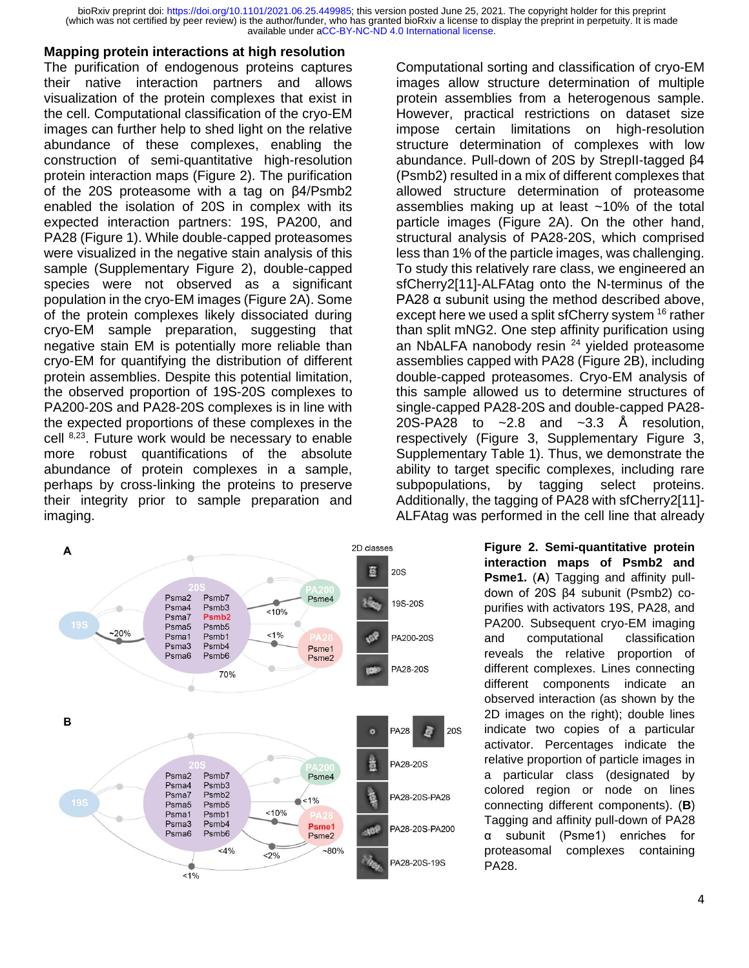#### **Mapping protein interactions at high resolution**

The purification of endogenous proteins captures their native interaction partners and allows visualization of the protein complexes that exist in the cell. Computational classification of the cryo-EM images can further help to shed light on the relative abundance of these complexes, enabling the construction of semi-quantitative high-resolution protein interaction maps (Figure 2). The purification of the 20S proteasome with a tag on β4/Psmb2 enabled the isolation of 20S in complex with its expected interaction partners: 19S, PA200, and PA28 (Figure 1). While double-capped proteasomes were visualized in the negative stain analysis of this sample (Supplementary Figure 2), double-capped species were not observed as a significant population in the cryo-EM images (Figure 2A). Some of the protein complexes likely dissociated during cryo-EM sample preparation, suggesting that negative stain EM is potentially more reliable than cryo-EM for quantifying the distribution of different protein assemblies. Despite this potential limitation, the observed proportion of 19S-20S complexes to PA200-20S and PA28-20S complexes is in line with the expected proportions of these complexes in the cell <sup>8,23</sup>. Future work would be necessary to enable more robust quantifications of the absolute abundance of protein complexes in a sample, perhaps by cross-linking the proteins to preserve their integrity prior to sample preparation and imaging.



Computational sorting and classification of cryo-EM images allow structure determination of multiple protein assemblies from a heterogenous sample. However, practical restrictions on dataset size impose certain limitations on high-resolution structure determination of complexes with low abundance. Pull-down of 20S by StrepII-tagged β4 (Psmb2) resulted in a mix of different complexes that allowed structure determination of proteasome assemblies making up at least  $~10\%$  of the total particle images (Figure 2A). On the other hand, structural analysis of PA28-20S, which comprised less than 1% of the particle images, was challenging. To study this relatively rare class, we engineered an sfCherry2[11]-ALFAtag onto the N-terminus of the PA28 α subunit using the method described above, except here we used a split sfCherry system <sup>16</sup> rather than split mNG2. One step affinity purification using an NbALFA nanobody resin  $24$  yielded proteasome assemblies capped with PA28 (Figure 2B), including double-capped proteasomes. Cryo-EM analysis of this sample allowed us to determine structures of single-capped PA28-20S and double-capped PA28- 20S-PA28 to  $\sim$ 2.8 and  $\sim$ 3.3 Å resolution, respectively (Figure 3, Supplementary Figure 3, Supplementary Table 1). Thus, we demonstrate the ability to target specific complexes, including rare subpopulations, by tagging select proteins. Additionally, the tagging of PA28 with sfCherry2[11]- ALFAtag was performed in the cell line that already

> **Figure 2. Semi-quantitative protein interaction maps of Psmb2 and Psme1.** (**A**) Tagging and affinity pulldown of 20S β4 subunit (Psmb2) copurifies with activators 19S, PA28, and PA200. Subsequent cryo-EM imaging and computational classification reveals the relative proportion of different complexes. Lines connecting different components indicate an observed interaction (as shown by the 2D images on the right); double lines indicate two copies of a particular activator. Percentages indicate the relative proportion of particle images in a particular class (designated by colored region or node on lines connecting different components). (**B**) Tagging and affinity pull-down of PA28 α subunit (Psme1) enriches for proteasomal complexes containing PA28.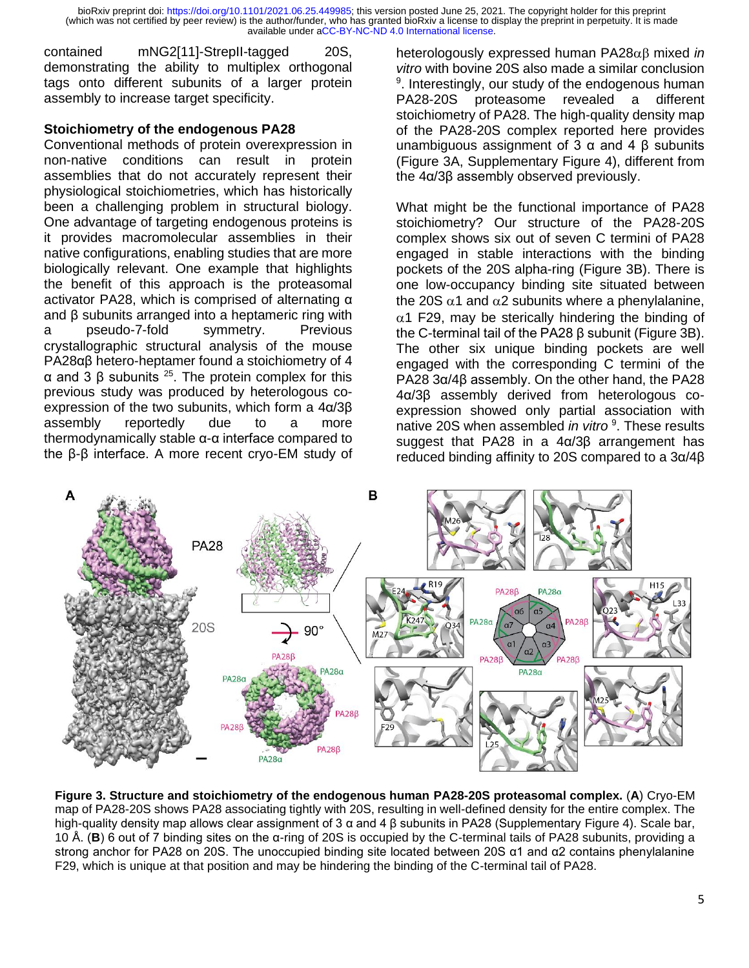contained mNG2[11]-StrepII-tagged 20S, demonstrating the ability to multiplex orthogonal tags onto different subunits of a larger protein assembly to increase target specificity.

#### **Stoichiometry of the endogenous PA28**

Conventional methods of protein overexpression in non-native conditions can result in protein assemblies that do not accurately represent their physiological stoichiometries, which has historically been a challenging problem in structural biology. One advantage of targeting endogenous proteins is it provides macromolecular assemblies in their native configurations, enabling studies that are more biologically relevant. One example that highlights the benefit of this approach is the proteasomal activator PA28, which is comprised of alternating α and β subunits arranged into a heptameric ring with a pseudo-7-fold symmetry. Previous crystallographic structural analysis of the mouse PA28αβ hetero-heptamer found a stoichiometry of 4 α and 3 β subunits  $25$ . The protein complex for this previous study was produced by heterologous coexpression of the two subunits, which form a 4α/3β assembly reportedly due to a more thermodynamically stable α-α interface compared to the β-β interface. A more recent cryo-EM study of heterologously expressed human PA28αβ mixed *in vitro* with bovine 20S also made a similar conclusion <sup>9</sup>. Interestingly, our study of the endogenous human PA28-20S proteasome revealed a different stoichiometry of PA28. The high-quality density map of the PA28-20S complex reported here provides unambiguous assignment of 3  $α$  and 4  $β$  subunits (Figure 3A, Supplementary Figure 4), different from the 4α/3β assembly observed previously.

What might be the functional importance of PA28 stoichiometry? Our structure of the PA28-20S complex shows six out of seven C termini of PA28 engaged in stable interactions with the binding pockets of the 20S alpha-ring (Figure 3B). There is one low-occupancy binding site situated between the 20S  $\alpha$ 1 and  $\alpha$ 2 subunits where a phenylalanine,  $\alpha$ 1 F29, may be sterically hindering the binding of the C-terminal tail of the PA28 β subunit (Figure 3B). The other six unique binding pockets are well engaged with the corresponding C termini of the PA28 3α/4β assembly. On the other hand, the PA28 4α/3β assembly derived from heterologous coexpression showed only partial association with native 20S when assembled *in vitro* <sup>9</sup>. These results suggest that PA28 in a 4α/3β arrangement has reduced binding affinity to 20S compared to a 3α/4β



**Figure 3. Structure and stoichiometry of the endogenous human PA28-20S proteasomal complex.** (**A**) Cryo-EM map of PA28-20S shows PA28 associating tightly with 20S, resulting in well-defined density for the entire complex. The high-quality density map allows clear assignment of 3 α and 4 β subunits in PA28 (Supplementary Figure 4). Scale bar, 10 Å. (**B**) 6 out of 7 binding sites on the α-ring of 20S is occupied by the C-terminal tails of PA28 subunits, providing a strong anchor for PA28 on 20S. The unoccupied binding site located between 20S α1 and α2 contains phenylalanine F29, which is unique at that position and may be hindering the binding of the C-terminal tail of PA28.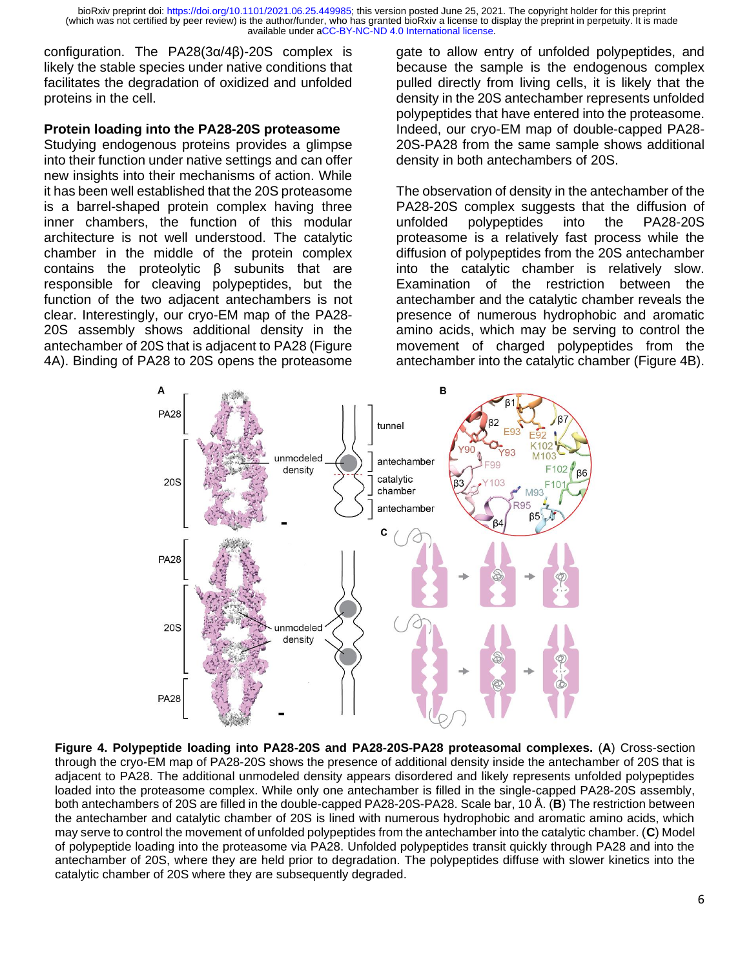configuration. The PA28(3α/4β)-20S complex is likely the stable species under native conditions that facilitates the degradation of oxidized and unfolded proteins in the cell.

#### **Protein loading into the PA28-20S proteasome**

Studying endogenous proteins provides a glimpse into their function under native settings and can offer new insights into their mechanisms of action. While it has been well established that the 20S proteasome is a barrel-shaped protein complex having three inner chambers, the function of this modular architecture is not well understood. The catalytic chamber in the middle of the protein complex contains the proteolytic β subunits that are responsible for cleaving polypeptides, but the function of the two adjacent antechambers is not clear. Interestingly, our cryo-EM map of the PA28- 20S assembly shows additional density in the antechamber of 20S that is adjacent to PA28 (Figure 4A). Binding of PA28 to 20S opens the proteasome

gate to allow entry of unfolded polypeptides, and because the sample is the endogenous complex pulled directly from living cells, it is likely that the density in the 20S antechamber represents unfolded polypeptides that have entered into the proteasome. Indeed, our cryo-EM map of double-capped PA28- 20S-PA28 from the same sample shows additional density in both antechambers of 20S.

The observation of density in the antechamber of the PA28-20S complex suggests that the diffusion of unfolded polypeptides into the PA28-20S proteasome is a relatively fast process while the diffusion of polypeptides from the 20S antechamber into the catalytic chamber is relatively slow. Examination of the restriction between the antechamber and the catalytic chamber reveals the presence of numerous hydrophobic and aromatic amino acids, which may be serving to control the movement of charged polypeptides from the antechamber into the catalytic chamber (Figure 4B).



**Figure 4. Polypeptide loading into PA28-20S and PA28-20S-PA28 proteasomal complexes.** (**A**) Cross-section through the cryo-EM map of PA28-20S shows the presence of additional density inside the antechamber of 20S that is adjacent to PA28. The additional unmodeled density appears disordered and likely represents unfolded polypeptides loaded into the proteasome complex. While only one antechamber is filled in the single-capped PA28-20S assembly, both antechambers of 20S are filled in the double-capped PA28-20S-PA28. Scale bar, 10 Å. (**B**) The restriction between the antechamber and catalytic chamber of 20S is lined with numerous hydrophobic and aromatic amino acids, which may serve to control the movement of unfolded polypeptides from the antechamber into the catalytic chamber. (**C**) Model of polypeptide loading into the proteasome via PA28. Unfolded polypeptides transit quickly through PA28 and into the antechamber of 20S, where they are held prior to degradation. The polypeptides diffuse with slower kinetics into the catalytic chamber of 20S where they are subsequently degraded.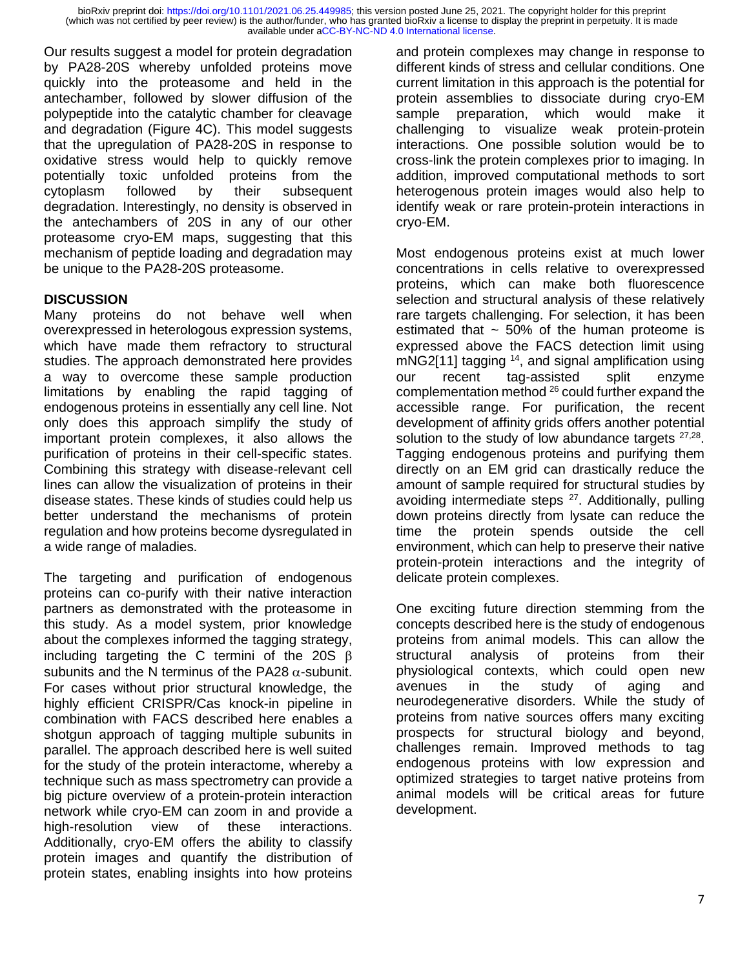Our results suggest a model for protein degradation by PA28-20S whereby unfolded proteins move quickly into the proteasome and held in the antechamber, followed by slower diffusion of the polypeptide into the catalytic chamber for cleavage and degradation (Figure 4C). This model suggests that the upregulation of PA28-20S in response to oxidative stress would help to quickly remove potentially toxic unfolded proteins from the cytoplasm followed by their subsequent degradation. Interestingly, no density is observed in the antechambers of 20S in any of our other proteasome cryo-EM maps, suggesting that this mechanism of peptide loading and degradation may be unique to the PA28-20S proteasome.

## **DISCUSSION**

Many proteins do not behave well when overexpressed in heterologous expression systems, which have made them refractory to structural studies. The approach demonstrated here provides a way to overcome these sample production limitations by enabling the rapid tagging of endogenous proteins in essentially any cell line. Not only does this approach simplify the study of important protein complexes, it also allows the purification of proteins in their cell-specific states. Combining this strategy with disease-relevant cell lines can allow the visualization of proteins in their disease states. These kinds of studies could help us better understand the mechanisms of protein regulation and how proteins become dysregulated in a wide range of maladies.

The targeting and purification of endogenous proteins can co-purify with their native interaction partners as demonstrated with the proteasome in this study. As a model system, prior knowledge about the complexes informed the tagging strategy, including targeting the C termini of the 20S  $\beta$ subunits and the N terminus of the PA28  $\alpha$ -subunit. For cases without prior structural knowledge, the highly efficient CRISPR/Cas knock-in pipeline in combination with FACS described here enables a shotgun approach of tagging multiple subunits in parallel. The approach described here is well suited for the study of the protein interactome, whereby a technique such as mass spectrometry can provide a big picture overview of a protein-protein interaction network while cryo-EM can zoom in and provide a high-resolution view of these interactions. Additionally, cryo-EM offers the ability to classify protein images and quantify the distribution of protein states, enabling insights into how proteins

and protein complexes may change in response to different kinds of stress and cellular conditions. One current limitation in this approach is the potential for protein assemblies to dissociate during cryo-EM sample preparation, which would make it challenging to visualize weak protein-protein interactions. One possible solution would be to cross-link the protein complexes prior to imaging. In addition, improved computational methods to sort heterogenous protein images would also help to identify weak or rare protein-protein interactions in cryo-EM.

Most endogenous proteins exist at much lower concentrations in cells relative to overexpressed proteins, which can make both fluorescence selection and structural analysis of these relatively rare targets challenging. For selection, it has been estimated that  $\sim$  50% of the human proteome is expressed above the FACS detection limit using mNG2[11] tagging <sup>14</sup>, and signal amplification using our recent tag-assisted split enzyme complementation method <sup>26</sup> could further expand the accessible range. For purification, the recent development of affinity grids offers another potential solution to the study of low abundance targets  $27,28$ . Tagging endogenous proteins and purifying them directly on an EM grid can drastically reduce the amount of sample required for structural studies by avoiding intermediate steps  $27$ . Additionally, pulling down proteins directly from lysate can reduce the time the protein spends outside the cell environment, which can help to preserve their native protein-protein interactions and the integrity of delicate protein complexes.

One exciting future direction stemming from the concepts described here is the study of endogenous proteins from animal models. This can allow the structural analysis of proteins from their physiological contexts, which could open new avenues in the study of aging and neurodegenerative disorders. While the study of proteins from native sources offers many exciting prospects for structural biology and beyond, challenges remain. Improved methods to tag endogenous proteins with low expression and optimized strategies to target native proteins from animal models will be critical areas for future development.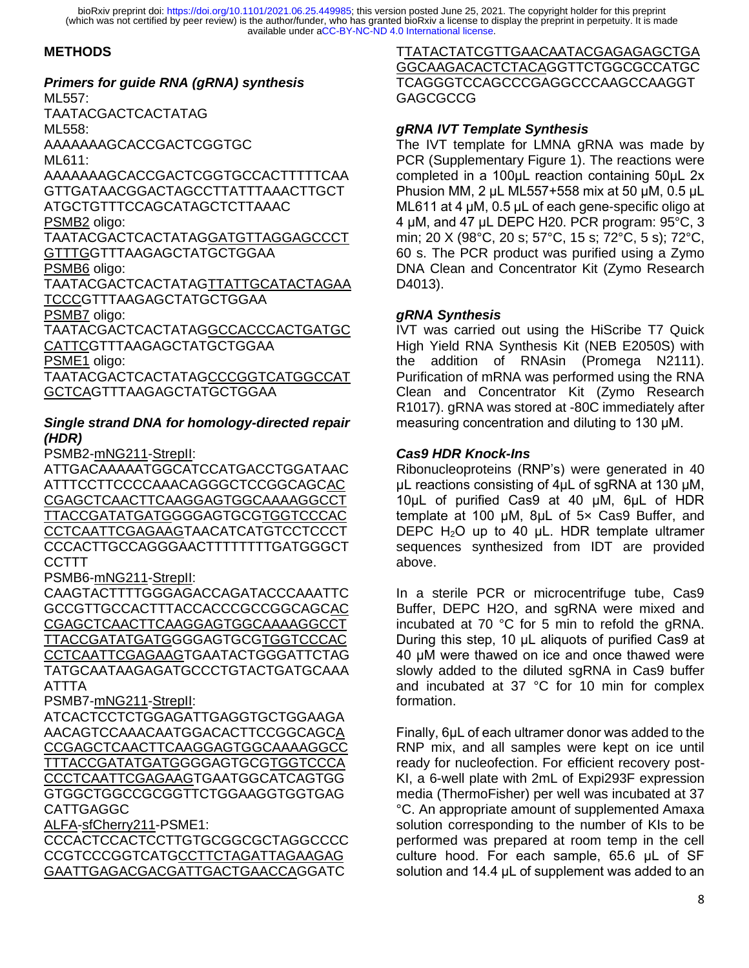## **METHODS**

*Primers for guide RNA (gRNA) synthesis* ML557: TAATACGACTCACTATAG ML558: AAAAAAAGCACCGACTCGGTGC ML611: AAAAAAAGCACCGACTCGGTGCCACTTTTTCAA GTTGATAACGGACTAGCCTTATTTAAACTTGCT ATGCTGTTTCCAGCATAGCTCTTAAAC PSMB2 oligo: TAATACGACTCACTATAGGATGTTAGGAGCCCT GTTTGGTTTAAGAGCTATGCTGGAA PSMB6 oligo: TAATACGACTCACTATAGTTATTGCATACTAGAA TCCCGTTTAAGAGCTATGCTGGAA PSMB7 oligo: TAATACGACTCACTATAGGCCACCCACTGATGC CATTCGTTTAAGAGCTATGCTGGAA PSME1 oligo:

TAATACGACTCACTATAGCCCGGTCATGGCCAT GCTCAGTTTAAGAGCTATGCTGGAA

#### *Single strand DNA for homology-directed repair (HDR)*

PSMB2-mNG211-StrepII:

ATTGACAAAAATGGCATCCATGACCTGGATAAC ATTTCCTTCCCCAAACAGGGCTCCGGCAGCAC CGAGCTCAACTTCAAGGAGTGGCAAAAGGCCT TTACCGATATGATGGGGAGTGCGTGGTCCCAC CCTCAATTCGAGAAGTAACATCATGTCCTCCCT CCCACTTGCCAGGGAACTTTTTTTTGATGGGCT **CCTTT** 

#### PSMB6-mNG211-StrepII:

CAAGTACTTTTGGGAGACCAGATACCCAAATTC GCCGTTGCCACTTTACCACCCGCCGGCAGCAC CGAGCTCAACTTCAAGGAGTGGCAAAAGGCCT TTACCGATATGATGGGGAGTGCGTGGTCCCAC CCTCAATTCGAGAAGTGAATACTGGGATTCTAG TATGCAATAAGAGATGCCCTGTACTGATGCAAA ATTTA

#### PSMB7-mNG211-StrepII:

ATCACTCCTCTGGAGATTGAGGTGCTGGAAGA AACAGTCCAAACAATGGACACTTCCGGCAGCA CCGAGCTCAACTTCAAGGAGTGGCAAAAGGCC TTTACCGATATGATGGGGAGTGCGTGGTCCCA CCCTCAATTCGAGAAGTGAATGGCATCAGTGG GTGGCTGGCCGCGGTTCTGGAAGGTGGTGAG **CATTGAGGC** 

ALFA-sfCherry211-PSME1:

CCCACTCCACTCCTTGTGCGGCGCTAGGCCCC CCGTCCCGGTCATGCCTTCTAGATTAGAAGAG GAATTGAGACGACGATTGACTGAACCAGGATC

TTATACTATCGTTGAACAATACGAGAGAGCTGA GGCAAGACACTCTACAGGTTCTGGCGCCATGC TCAGGGTCCAGCCCGAGGCCCAAGCCAAGGT **GAGCGCCG** 

#### *gRNA IVT Template Synthesis*

The IVT template for LMNA gRNA was made by PCR (Supplementary Figure 1). The reactions were completed in a 100μL reaction containing 50μL 2x Phusion MM, 2 μL ML557+558 mix at 50 μM, 0.5 μL ML611 at 4 μM, 0.5 μL of each gene-specific oligo at 4 μM, and 47 μL DEPC H20. PCR program: 95°C, 3 min; 20 X (98°C, 20 s; 57°C, 15 s; 72°C, 5 s); 72°C, 60 s. The PCR product was purified using a Zymo DNA Clean and Concentrator Kit (Zymo Research D4013).

#### *gRNA Synthesis*

IVT was carried out using the HiScribe T7 Quick High Yield RNA Synthesis Kit (NEB E2050S) with the addition of RNAsin (Promega N2111). Purification of mRNA was performed using the RNA Clean and Concentrator Kit (Zymo Research R1017). gRNA was stored at -80C immediately after measuring concentration and diluting to 130 μM.

#### *Cas9 HDR Knock-Ins*

Ribonucleoproteins (RNP's) were generated in 40 μL reactions consisting of 4μL of sgRNA at 130 μM, 10μL of purified Cas9 at 40 μM, 6μL of HDR template at 100 μM, 8μL of 5× Cas9 Buffer, and DEPC  $H_2O$  up to 40 µL. HDR template ultramer sequences synthesized from IDT are provided above.

In a sterile PCR or microcentrifuge tube, Cas9 Buffer, DEPC H2O, and sgRNA were mixed and incubated at 70 °C for 5 min to refold the gRNA. During this step, 10 μL aliquots of purified Cas9 at 40 μM were thawed on ice and once thawed were slowly added to the diluted sgRNA in Cas9 buffer and incubated at 37 °C for 10 min for complex formation.

Finally, 6μL of each ultramer donor was added to the RNP mix, and all samples were kept on ice until ready for nucleofection. For efficient recovery post-KI, a 6-well plate with 2mL of Expi293F expression media (ThermoFisher) per well was incubated at 37 °C. An appropriate amount of supplemented Amaxa solution corresponding to the number of KIs to be performed was prepared at room temp in the cell culture hood. For each sample, 65.6 μL of SF solution and 14.4 μL of supplement was added to an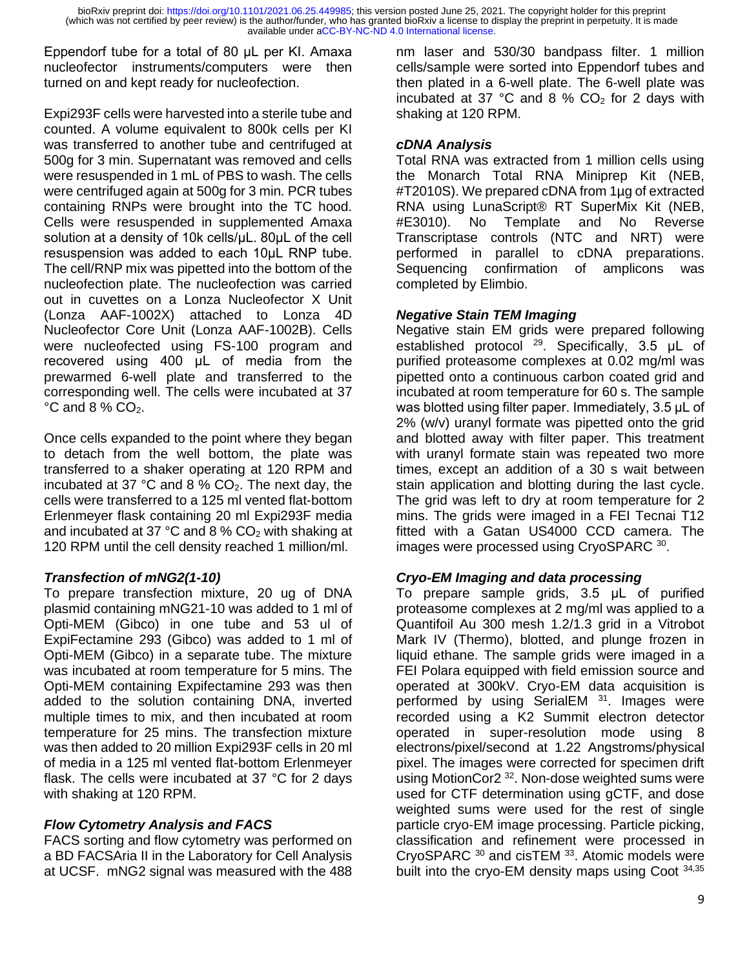Eppendorf tube for a total of 80 μL per KI. Amaxa nucleofector instruments/computers were then turned on and kept ready for nucleofection.

Expi293F cells were harvested into a sterile tube and counted. A volume equivalent to 800k cells per KI was transferred to another tube and centrifuged at 500g for 3 min. Supernatant was removed and cells were resuspended in 1 mL of PBS to wash. The cells were centrifuged again at 500g for 3 min. PCR tubes containing RNPs were brought into the TC hood. Cells were resuspended in supplemented Amaxa solution at a density of 10k cells/μL. 80μL of the cell resuspension was added to each 10μL RNP tube. The cell/RNP mix was pipetted into the bottom of the nucleofection plate. The nucleofection was carried out in cuvettes on a Lonza Nucleofector X Unit (Lonza AAF-1002X) attached to Lonza 4D Nucleofector Core Unit (Lonza AAF-1002B). Cells were nucleofected using FS-100 program and recovered using 400 μL of media from the prewarmed 6-well plate and transferred to the corresponding well. The cells were incubated at 37  $^{\circ}$ C and 8 % CO<sub>2</sub>.

Once cells expanded to the point where they began to detach from the well bottom, the plate was transferred to a shaker operating at 120 RPM and incubated at 37 °C and 8 %  $CO<sub>2</sub>$ . The next day, the cells were transferred to a 125 ml vented flat-bottom Erlenmeyer flask containing 20 ml Expi293F media and incubated at 37 °C and 8 %  $CO<sub>2</sub>$  with shaking at 120 RPM until the cell density reached 1 million/ml.

#### *Transfection of mNG2(1-10)*

To prepare transfection mixture, 20 ug of DNA plasmid containing mNG21-10 was added to 1 ml of Opti-MEM (Gibco) in one tube and 53 ul of ExpiFectamine 293 (Gibco) was added to 1 ml of Opti-MEM (Gibco) in a separate tube. The mixture was incubated at room temperature for 5 mins. The Opti-MEM containing Expifectamine 293 was then added to the solution containing DNA, inverted multiple times to mix, and then incubated at room temperature for 25 mins. The transfection mixture was then added to 20 million Expi293F cells in 20 ml of media in a 125 ml vented flat-bottom Erlenmeyer flask. The cells were incubated at 37 °C for 2 days with shaking at 120 RPM.

#### *Flow Cytometry Analysis and FACS*

FACS sorting and flow cytometry was performed on a BD FACSAria II in the Laboratory for Cell Analysis at UCSF. mNG2 signal was measured with the 488 nm laser and 530/30 bandpass filter. 1 million cells/sample were sorted into Eppendorf tubes and then plated in a 6-well plate. The 6-well plate was incubated at 37 °C and 8 %  $CO<sub>2</sub>$  for 2 days with shaking at 120 RPM.

#### *cDNA Analysis*

Total RNA was extracted from 1 million cells using the Monarch Total RNA Miniprep Kit (NEB, #T2010S). We prepared cDNA from 1µg of extracted RNA using LunaScript® RT SuperMix Kit (NEB, #E3010). No Template and No Reverse Transcriptase controls (NTC and NRT) were performed in parallel to cDNA preparations. Sequencing confirmation of amplicons was completed by Elimbio.

#### *Negative Stain TEM Imaging*

Negative stain EM grids were prepared following established protocol  $^{29}$ . Specifically, 3.5  $\mu$ L of purified proteasome complexes at 0.02 mg/ml was pipetted onto a continuous carbon coated grid and incubated at room temperature for 60 s. The sample was blotted using filter paper. Immediately, 3.5 μL of 2% (w/v) uranyl formate was pipetted onto the grid and blotted away with filter paper. This treatment with uranyl formate stain was repeated two more times, except an addition of a 30 s wait between stain application and blotting during the last cycle. The grid was left to dry at room temperature for 2 mins. The grids were imaged in a FEI Tecnai T12 fitted with a Gatan US4000 CCD camera. The images were processed using CryoSPARC 30.

# *Cryo-EM Imaging and data processing*

To prepare sample grids, 3.5 μL of purified proteasome complexes at 2 mg/ml was applied to a Quantifoil Au 300 mesh 1.2/1.3 grid in a Vitrobot Mark IV (Thermo), blotted, and plunge frozen in liquid ethane. The sample grids were imaged in a FEI Polara equipped with field emission source and operated at 300kV. Cryo-EM data acquisition is performed by using SerialEM  $31$ . Images were recorded using a K2 Summit electron detector operated in super-resolution mode using 8 electrons/pixel/second at 1.22 Angstroms/physical pixel. The images were corrected for specimen drift using MotionCor2<sup>32</sup>. Non-dose weighted sums were used for CTF determination using gCTF, and dose weighted sums were used for the rest of single particle cryo-EM image processing. Particle picking, classification and refinement were processed in CryoSPARC  $30$  and cisTEM  $33$ . Atomic models were built into the cryo-EM density maps using Coot 34,35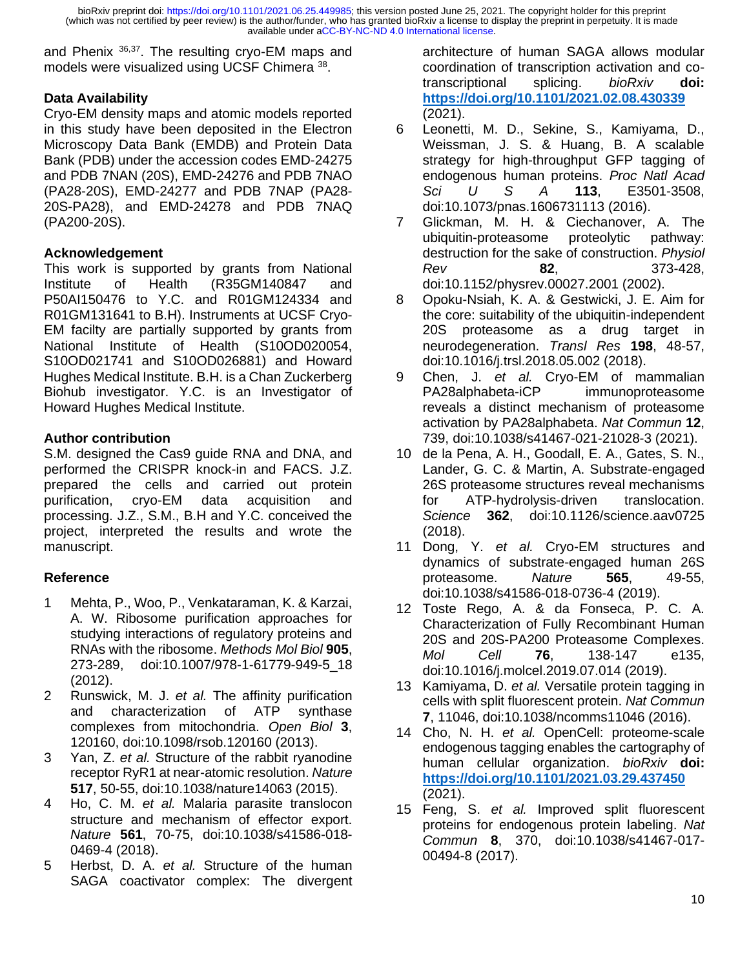and Phenix <sup>36,37</sup>. The resulting cryo-EM maps and models were visualized using UCSF Chimera <sup>38</sup>.

# **Data Availability**

Cryo-EM density maps and atomic models reported in this study have been deposited in the Electron Microscopy Data Bank (EMDB) and Protein Data Bank (PDB) under the accession codes EMD-24275 and PDB 7NAN (20S), EMD-24276 and PDB 7NAO (PA28-20S), EMD-24277 and PDB 7NAP (PA28- 20S-PA28), and EMD-24278 and PDB 7NAQ (PA200-20S).

# **Acknowledgement**

This work is supported by grants from National Institute of Health (R35GM140847 and P50AI150476 to Y.C. and R01GM124334 and R01GM131641 to B.H). Instruments at UCSF Cryo-EM facilty are partially supported by grants from National Institute of Health (S10OD020054, S10OD021741 and S10OD026881) and Howard Hughes Medical Institute. B.H. is a Chan Zuckerberg Biohub investigator. Y.C. is an Investigator of Howard Hughes Medical Institute.

# **Author contribution**

S.M. designed the Cas9 guide RNA and DNA, and performed the CRISPR knock-in and FACS. J.Z. prepared the cells and carried out protein purification, cryo-EM data acquisition and processing. J.Z., S.M., B.H and Y.C. conceived the project, interpreted the results and wrote the manuscript.

# **Reference**

- 1 Mehta, P., Woo, P., Venkataraman, K. & Karzai, A. W. Ribosome purification approaches for studying interactions of regulatory proteins and RNAs with the ribosome. *Methods Mol Biol* **905**, 273-289, doi:10.1007/978-1-61779-949-5\_18 (2012).
- 2 Runswick, M. J. *et al.* The affinity purification and characterization of ATP synthase complexes from mitochondria. *Open Biol* **3**, 120160, doi:10.1098/rsob.120160 (2013).
- 3 Yan, Z. *et al.* Structure of the rabbit ryanodine receptor RyR1 at near-atomic resolution. *Nature* **517**, 50-55, doi:10.1038/nature14063 (2015).
- 4 Ho, C. M. *et al.* Malaria parasite translocon structure and mechanism of effector export. *Nature* **561**, 70-75, doi:10.1038/s41586-018- 0469-4 (2018).
- 5 Herbst, D. A. *et al.* Structure of the human SAGA coactivator complex: The divergent

architecture of human SAGA allows modular coordination of transcription activation and cotranscriptional splicing. *bioRxiv* **doi: <https://doi.org/10.1101/2021.02.08.430339>** (2021).

- 6 Leonetti, M. D., Sekine, S., Kamiyama, D., Weissman, J. S. & Huang, B. A scalable strategy for high-throughput GFP tagging of endogenous human proteins. *Proc Natl Acad Sci U S A* **113**, E3501-3508, doi:10.1073/pnas.1606731113 (2016).
- 7 Glickman, M. H. & Ciechanover, A. The ubiquitin-proteasome proteolytic pathway: destruction for the sake of construction. *Physiol Rev* **82**, 373-428, doi:10.1152/physrev.00027.2001 (2002).
- 8 Opoku-Nsiah, K. A. & Gestwicki, J. E. Aim for the core: suitability of the ubiquitin-independent 20S proteasome as a drug target in neurodegeneration. *Transl Res* **198**, 48-57, doi:10.1016/j.trsl.2018.05.002 (2018).
- 9 Chen, J. *et al.* Cryo-EM of mammalian PA28alphabeta-iCP immunoproteasome reveals a distinct mechanism of proteasome activation by PA28alphabeta. *Nat Commun* **12**, 739, doi:10.1038/s41467-021-21028-3 (2021).
- 10 de la Pena, A. H., Goodall, E. A., Gates, S. N., Lander, G. C. & Martin, A. Substrate-engaged 26S proteasome structures reveal mechanisms for ATP-hydrolysis-driven translocation. *Science* **362**, doi:10.1126/science.aav0725 (2018).
- 11 Dong, Y. *et al.* Cryo-EM structures and dynamics of substrate-engaged human 26S proteasome. *Nature* **565**, 49-55, doi:10.1038/s41586-018-0736-4 (2019).
- 12 Toste Rego, A. & da Fonseca, P. C. A. Characterization of Fully Recombinant Human 20S and 20S-PA200 Proteasome Complexes. *Mol Cell* **76**, 138-147 e135, doi:10.1016/j.molcel.2019.07.014 (2019).
- 13 Kamiyama, D. *et al.* Versatile protein tagging in cells with split fluorescent protein. *Nat Commun* **7**, 11046, doi:10.1038/ncomms11046 (2016).
- 14 Cho, N. H. *et al.* OpenCell: proteome-scale endogenous tagging enables the cartography of human cellular organization. *bioRxiv* **doi: <https://doi.org/10.1101/2021.03.29.437450>** (2021).
- 15 Feng, S. *et al.* Improved split fluorescent proteins for endogenous protein labeling. *Nat Commun* **8**, 370, doi:10.1038/s41467-017- 00494-8 (2017).